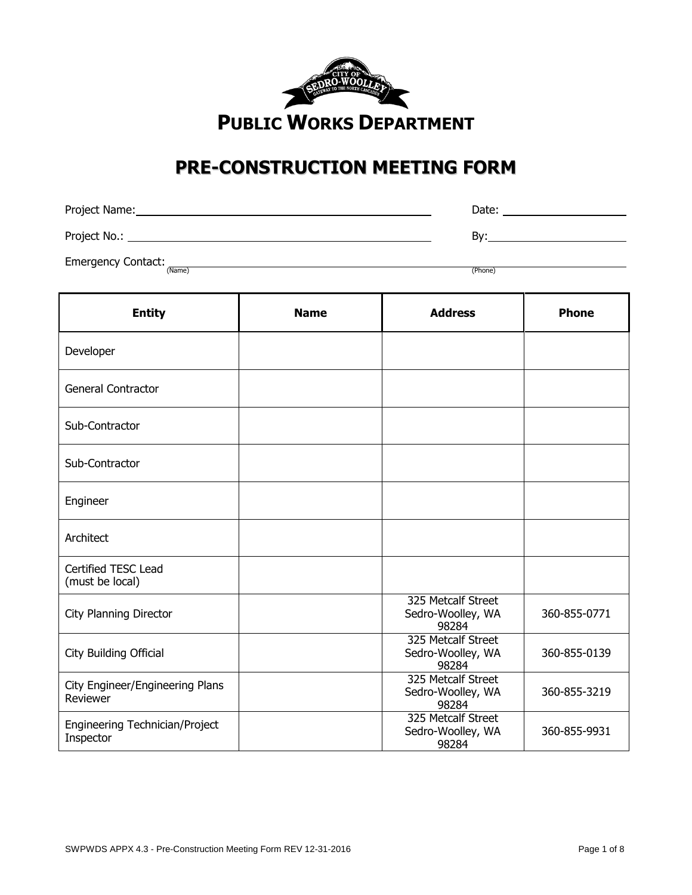

# **PRE-CONSTRUCTION MEETING FORM**

| Project Name: | Date: |
|---------------|-------|
| Project No.:  | Bv:   |

Emergency Contact: (Name)

(Name) (Phone)

| <b>Entity</b>                               | <b>Name</b> | <b>Address</b>                                   | <b>Phone</b> |
|---------------------------------------------|-------------|--------------------------------------------------|--------------|
| Developer                                   |             |                                                  |              |
| <b>General Contractor</b>                   |             |                                                  |              |
| Sub-Contractor                              |             |                                                  |              |
| Sub-Contractor                              |             |                                                  |              |
| Engineer                                    |             |                                                  |              |
| Architect                                   |             |                                                  |              |
| Certified TESC Lead<br>(must be local)      |             |                                                  |              |
| <b>City Planning Director</b>               |             | 325 Metcalf Street<br>Sedro-Woolley, WA<br>98284 | 360-855-0771 |
| City Building Official                      |             | 325 Metcalf Street<br>Sedro-Woolley, WA<br>98284 | 360-855-0139 |
| City Engineer/Engineering Plans<br>Reviewer |             | 325 Metcalf Street<br>Sedro-Woolley, WA<br>98284 | 360-855-3219 |
| Engineering Technician/Project<br>Inspector |             | 325 Metcalf Street<br>Sedro-Woolley, WA<br>98284 | 360-855-9931 |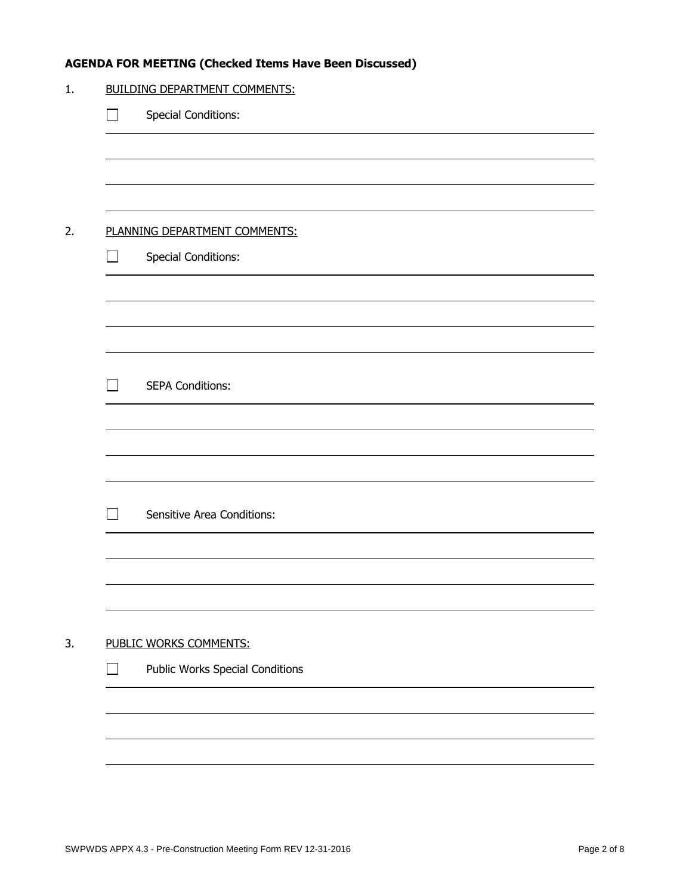## **AGENDA FOR MEETING (Checked Items Have Been Discussed)**

|                | <b>BUILDING DEPARTMENT COMMENTS:</b>   |
|----------------|----------------------------------------|
|                | <b>Special Conditions:</b>             |
|                |                                        |
|                |                                        |
|                |                                        |
|                | PLANNING DEPARTMENT COMMENTS:          |
| <b>College</b> | <b>Special Conditions:</b>             |
|                |                                        |
|                |                                        |
|                |                                        |
|                |                                        |
| $\mathcal{L}$  | <b>SEPA Conditions:</b>                |
|                |                                        |
|                |                                        |
|                |                                        |
| $\mathcal{L}$  | <b>Sensitive Area Conditions:</b>      |
|                |                                        |
|                |                                        |
|                |                                        |
|                |                                        |
|                | PUBLIC WORKS COMMENTS:                 |
|                | <b>Public Works Special Conditions</b> |
|                |                                        |
|                |                                        |
|                |                                        |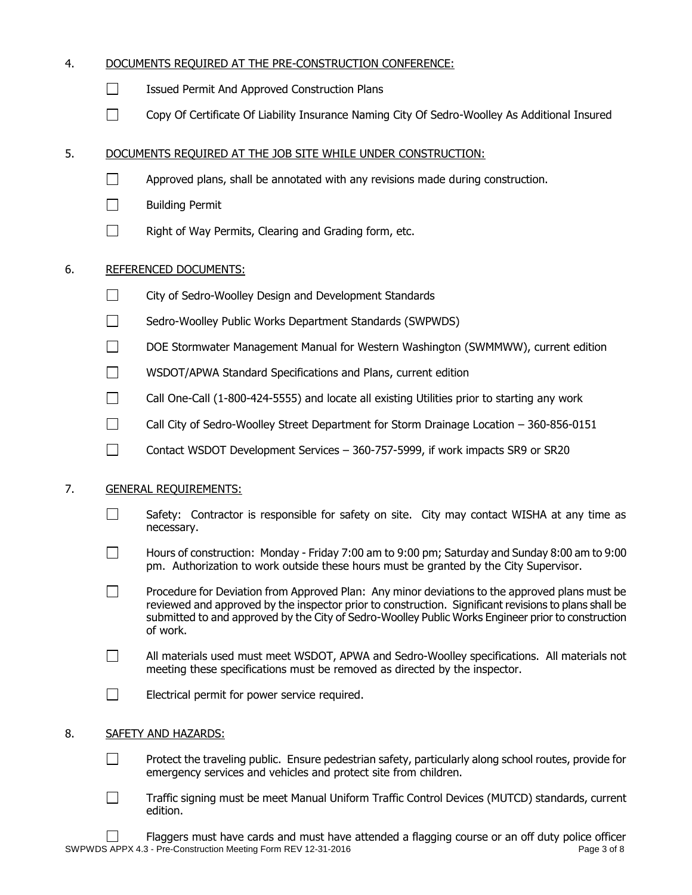## 4. DOCUMENTS REQUIRED AT THE PRE-CONSTRUCTION CONFERENCE:

- $\Box$  Issued Permit And Approved Construction Plans
- Copy Of Certificate Of Liability Insurance Naming City Of Sedro-Woolley As Additional Insured

## 5. DOCUMENTS REQUIRED AT THE JOB SITE WHILE UNDER CONSTRUCTION:

- $\Box$ Approved plans, shall be annotated with any revisions made during construction.
- П Building Permit
- Right of Way Permits, Clearing and Grading form, etc.  $\Box$

## 6. REFERENCED DOCUMENTS:

- $\Box$ City of Sedro-Woolley Design and Development Standards
- $\Box$ Sedro-Woolley Public Works Department Standards (SWPWDS)
- П DOE Stormwater Management Manual for Western Washington (SWMMWW), current edition
- $\Box$ WSDOT/APWA Standard Specifications and Plans, current edition
- $\Box$ Call One-Call (1-800-424-5555) and locate all existing Utilities prior to starting any work
- $\Box$ Call City of Sedro-Woolley Street Department for Storm Drainage Location – 360-856-0151
- П. Contact WSDOT Development Services – 360-757-5999, if work impacts SR9 or SR20

## 7. GENERAL REQUIREMENTS:

- $\Box$ Safety: Contractor is responsible for safety on site. City may contact WISHA at any time as necessary.
- П. Hours of construction: Monday - Friday 7:00 am to 9:00 pm; Saturday and Sunday 8:00 am to 9:00 pm. Authorization to work outside these hours must be granted by the City Supervisor.
- $\Box$ Procedure for Deviation from Approved Plan: Any minor deviations to the approved plans must be reviewed and approved by the inspector prior to construction. Significant revisions to plans shall be submitted to and approved by the City of Sedro-Woolley Public Works Engineer prior to construction of work.
- П All materials used must meet WSDOT, APWA and Sedro-Woolley specifications. All materials not meeting these specifications must be removed as directed by the inspector.
- $\Box$ Electrical permit for power service required.

## 8. SAFETY AND HAZARDS:

- $\Box$ Protect the traveling public. Ensure pedestrian safety, particularly along school routes, provide for emergency services and vehicles and protect site from children.
- $\Box$ Traffic signing must be meet Manual Uniform Traffic Control Devices (MUTCD) standards, current edition.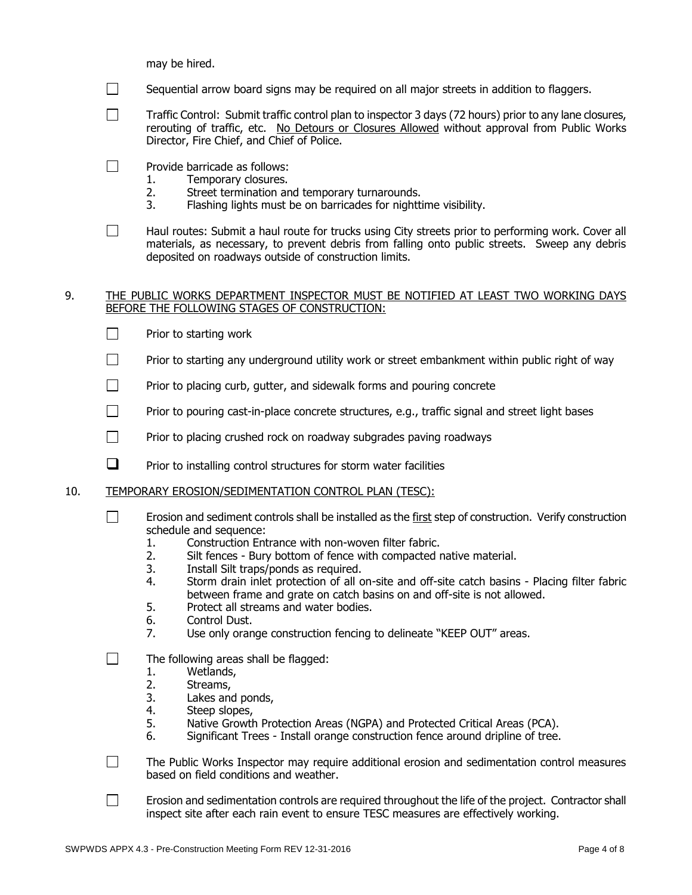may be hired.

- $\Box$ Sequential arrow board signs may be required on all major streets in addition to flaggers.
- $\Box$ Traffic Control: Submit traffic control plan to inspector 3 days (72 hours) prior to any lane closures, rerouting of traffic, etc. No Detours or Closures Allowed without approval from Public Works Director, Fire Chief, and Chief of Police.
- $\Box$ Provide barricade as follows:
	- 1. Temporary closures.
	- 2. Street termination and temporary turnarounds.
	- 3. Flashing lights must be on barricades for nighttime visibility.
- $\Box$ Haul routes: Submit a haul route for trucks using City streets prior to performing work. Cover all materials, as necessary, to prevent debris from falling onto public streets. Sweep any debris deposited on roadways outside of construction limits.

#### 9. THE PUBLIC WORKS DEPARTMENT INSPECTOR MUST BE NOTIFIED AT LEAST TWO WORKING DAYS BEFORE THE FOLLOWING STAGES OF CONSTRUCTION:

- $\Box$ Prior to starting work
- П Prior to starting any underground utility work or street embankment within public right of way
- $\Box$ Prior to placing curb, gutter, and sidewalk forms and pouring concrete
- П Prior to pouring cast-in-place concrete structures, e.g., traffic signal and street light bases
- $\Box$ Prior to placing crushed rock on roadway subgrades paving roadways
- $\Box$  Prior to installing control structures for storm water facilities
- 10. TEMPORARY EROSION/SEDIMENTATION CONTROL PLAN (TESC):
	- П Erosion and sediment controls shall be installed as the first step of construction. Verify construction schedule and sequence:
		- 1. Construction Entrance with non-woven filter fabric.
		- 2. Silt fences Bury bottom of fence with compacted native material.
		- 3. Install Silt traps/ponds as required.
		- 4. Storm drain inlet protection of all on-site and off-site catch basins Placing filter fabric between frame and grate on catch basins on and off-site is not allowed.
		- 5. Protect all streams and water bodies.
		- 6. Control Dust.
		- 7. Use only orange construction fencing to delineate "KEEP OUT" areas.
	- П The following areas shall be flagged:
		- 1. Wetlands,
		- 2. Streams,<br>3. Lakes and
		- Lakes and ponds,
		- 4. Steep slopes,
		- 5. Native Growth Protection Areas (NGPA) and Protected Critical Areas (PCA).
		- 6. Significant Trees Install orange construction fence around dripline of tree.
	- $\Box$ The Public Works Inspector may require additional erosion and sedimentation control measures based on field conditions and weather.
	- $\Box$ Erosion and sedimentation controls are required throughout the life of the project. Contractor shall inspect site after each rain event to ensure TESC measures are effectively working.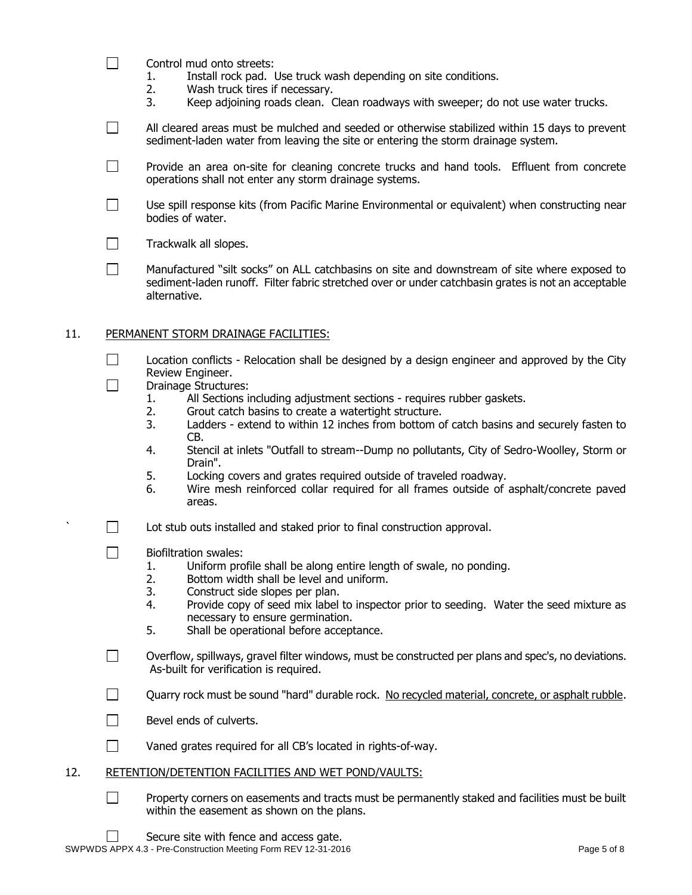- $\Box$ Control mud onto streets:
	- 1. Install rock pad. Use truck wash depending on site conditions.
	- 2. Wash truck tires if necessary.
	- 3. Keep adjoining roads clean. Clean roadways with sweeper; do not use water trucks.
- $\Box$ All cleared areas must be mulched and seeded or otherwise stabilized within 15 days to prevent sediment-laden water from leaving the site or entering the storm drainage system.
- $\Box$ Provide an area on-site for cleaning concrete trucks and hand tools. Effluent from concrete operations shall not enter any storm drainage systems.
- $\Box$ Use spill response kits (from Pacific Marine Environmental or equivalent) when constructing near bodies of water.
- $\Box$ Trackwalk all slopes.
- Manufactured "silt socks" on ALL catchbasins on site and downstream of site where exposed to П. sediment-laden runoff. Filter fabric stretched over or under catchbasin grates is not an acceptable alternative.

#### 11. PERMANENT STORM DRAINAGE FACILITIES:

- $\Box$ Location conflicts - Relocation shall be designed by a design engineer and approved by the City Review Engineer.
- $\Box$ Drainage Structures:
	- 1. All Sections including adjustment sections requires rubber gaskets.<br>2. Grout catch basins to create a watertight structure.
	- Grout catch basins to create a watertight structure.
	- 3. Ladders extend to within 12 inches from bottom of catch basins and securely fasten to CB.
	- 4. Stencil at inlets "Outfall to stream--Dump no pollutants, City of Sedro-Woolley, Storm or Drain".
	- 5. Locking covers and grates required outside of traveled roadway.
	- 6. Wire mesh reinforced collar required for all frames outside of asphalt/concrete paved areas.
- $\Box$  Lot stub outs installed and staked prior to final construction approval.
- $\Box$ Biofiltration swales:
	- 1. Uniform profile shall be along entire length of swale, no ponding.
	- 2. Bottom width shall be level and uniform.
	- 3. Construct side slopes per plan.
	- 4. Provide copy of seed mix label to inspector prior to seeding. Water the seed mixture as necessary to ensure germination.
	- 5. Shall be operational before acceptance.
- П Overflow, spillways, gravel filter windows, must be constructed per plans and spec's, no deviations. As-built for verification is required.
- $\Box$ Quarry rock must be sound "hard" durable rock. No recycled material, concrete, or asphalt rubble.
- $\Box$ Bevel ends of culverts.
- $\Box$ Vaned grates required for all CB's located in rights-of-way.
- 12. RETENTION/DETENTION FACILITIES AND WET POND/VAULTS:
	- П Property corners on easements and tracts must be permanently staked and facilities must be built within the easement as shown on the plans.
		- Secure site with fence and access gate.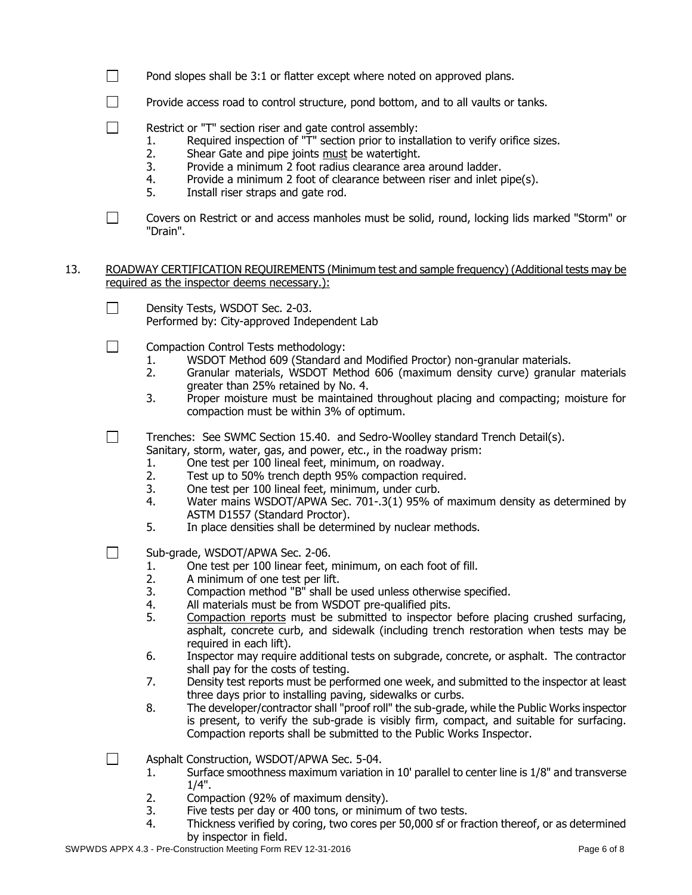- $\Box$ Pond slopes shall be 3:1 or flatter except where noted on approved plans.
- $\Box$ Provide access road to control structure, pond bottom, and to all vaults or tanks.
- $\Box$ Restrict or "T" section riser and gate control assembly:
	- 1. Required inspection of "T" section prior to installation to verify orifice sizes.
	- 2. Shear Gate and pipe joints must be watertight.
	- 3. Provide a minimum 2 foot radius clearance area around ladder.
	- 4. Provide a minimum 2 foot of clearance between riser and inlet pipe(s).
	- 5. Install riser straps and gate rod.
- Covers on Restrict or and access manholes must be solid, round, locking lids marked "Storm" or  $\Box$ "Drain".
- 13. ROADWAY CERTIFICATION REQUIREMENTS (Minimum test and sample frequency) (Additional tests may be required as the inspector deems necessary.):
	- $\Box$ Density Tests, WSDOT Sec. 2-03. Performed by: City-approved Independent Lab
	- Compaction Control Tests methodology: П
		- 1. WSDOT Method 609 (Standard and Modified Proctor) non-granular materials.
		- 2. Granular materials, WSDOT Method 606 (maximum density curve) granular materials greater than 25% retained by No. 4.
		- 3. Proper moisture must be maintained throughout placing and compacting; moisture for compaction must be within 3% of optimum.
	- $\Box$ Trenches: See SWMC Section 15.40. and Sedro-Woolley standard Trench Detail(s). Sanitary, storm, water, gas, and power, etc., in the roadway prism:
		- 1. One test per 100 lineal feet, minimum, on roadway.
		- 2. Test up to 50% trench depth 95% compaction required.
		- 3. One test per 100 lineal feet, minimum, under curb.
		- 4. Water mains WSDOT/APWA Sec. 701-.3(1) 95% of maximum density as determined by ASTM D1557 (Standard Proctor).
		- 5. In place densities shall be determined by nuclear methods.
	- $\Box$ Sub-grade, WSDOT/APWA Sec. 2-06.
		- 1. One test per 100 linear feet, minimum, on each foot of fill.
		- 2. A minimum of one test per lift.
		- 3. Compaction method "B" shall be used unless otherwise specified.
		- 4. All materials must be from WSDOT pre-qualified pits.
		- 5. Compaction reports must be submitted to inspector before placing crushed surfacing, asphalt, concrete curb, and sidewalk (including trench restoration when tests may be required in each lift).
		- 6. Inspector may require additional tests on subgrade, concrete, or asphalt. The contractor shall pay for the costs of testing.
		- 7. Density test reports must be performed one week, and submitted to the inspector at least three days prior to installing paving, sidewalks or curbs.
		- 8. The developer/contractor shall "proof roll" the sub-grade, while the Public Works inspector is present, to verify the sub-grade is visibly firm, compact, and suitable for surfacing. Compaction reports shall be submitted to the Public Works Inspector.

 $\Box$ Asphalt Construction, WSDOT/APWA Sec. 5-04.

- 1. Surface smoothness maximum variation in 10' parallel to center line is 1/8" and transverse 1/4".
- 2. Compaction (92% of maximum density).
- 3. Five tests per day or 400 tons, or minimum of two tests.
- 4. Thickness verified by coring, two cores per 50,000 sf or fraction thereof, or as determined by inspector in field.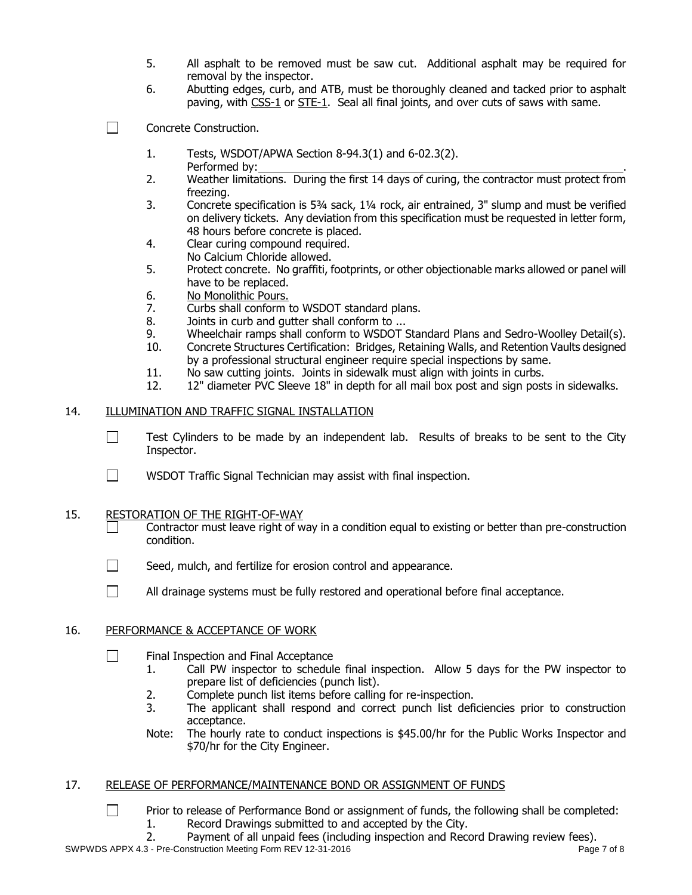- 5. All asphalt to be removed must be saw cut. Additional asphalt may be required for removal by the inspector.
- 6. Abutting edges, curb, and ATB, must be thoroughly cleaned and tacked prior to asphalt paving, with CSS-1 or STE-1. Seal all final joints, and over cuts of saws with same.
- П Concrete Construction.
	- 1. Tests, WSDOT/APWA Section 8-94.3(1) and 6-02.3(2). Performed by:
	- 2. Weather limitations. During the first 14 days of curing, the contractor must protect from freezing.
	- 3. Concrete specification is 5¾ sack, 1¼ rock, air entrained, 3" slump and must be verified on delivery tickets. Any deviation from this specification must be requested in letter form, 48 hours before concrete is placed.
	- 4. Clear curing compound required. No Calcium Chloride allowed.
	- 5. Protect concrete. No graffiti, footprints, or other objectionable marks allowed or panel will have to be replaced.
	- 6. No Monolithic Pours.
	- 7. Curbs shall conform to WSDOT standard plans.
	- 8. Joints in curb and gutter shall conform to ...
	- 9. Wheelchair ramps shall conform to WSDOT Standard Plans and Sedro-Woolley Detail(s).
	- 10. Concrete Structures Certification: Bridges, Retaining Walls, and Retention Vaults designed by a professional structural engineer require special inspections by same.
	- 11. No saw cutting joints. Joints in sidewalk must align with joints in curbs.
	- 12. 12" diameter PVC Sleeve 18" in depth for all mail box post and sign posts in sidewalks.

## 14. ILLUMINATION AND TRAFFIC SIGNAL INSTALLATION

- $\Box$ Test Cylinders to be made by an independent lab. Results of breaks to be sent to the City Inspector.
- $\Box$ WSDOT Traffic Signal Technician may assist with final inspection.

## 15. RESTORATION OF THE RIGHT-OF-WAY

- Contractor must leave right of way in a condition equal to existing or better than pre-construction condition.
- $\Box$ Seed, mulch, and fertilize for erosion control and appearance.
- $\Box$ All drainage systems must be fully restored and operational before final acceptance.

## 16. PERFORMANCE & ACCEPTANCE OF WORK

 $\Box$ 

- П Final Inspection and Final Acceptance
	- 1. Call PW inspector to schedule final inspection. Allow 5 days for the PW inspector to prepare list of deficiencies (punch list).
	- 2. Complete punch list items before calling for re-inspection.
	- 3. The applicant shall respond and correct punch list deficiencies prior to construction acceptance.
	- Note: The hourly rate to conduct inspections is \$45.00/hr for the Public Works Inspector and \$70/hr for the City Engineer.

## 17. RELEASE OF PERFORMANCE/MAINTENANCE BOND OR ASSIGNMENT OF FUNDS

- Prior to release of Performance Bond or assignment of funds, the following shall be completed:
	- 1. Record Drawings submitted to and accepted by the City.
- SWPWDS APPX 4.3 Pre-Construction Meeting Form REV 12-31-2016 **Page 7 of 8** Page 7 of 8 2. Payment of all unpaid fees (including inspection and Record Drawing review fees).